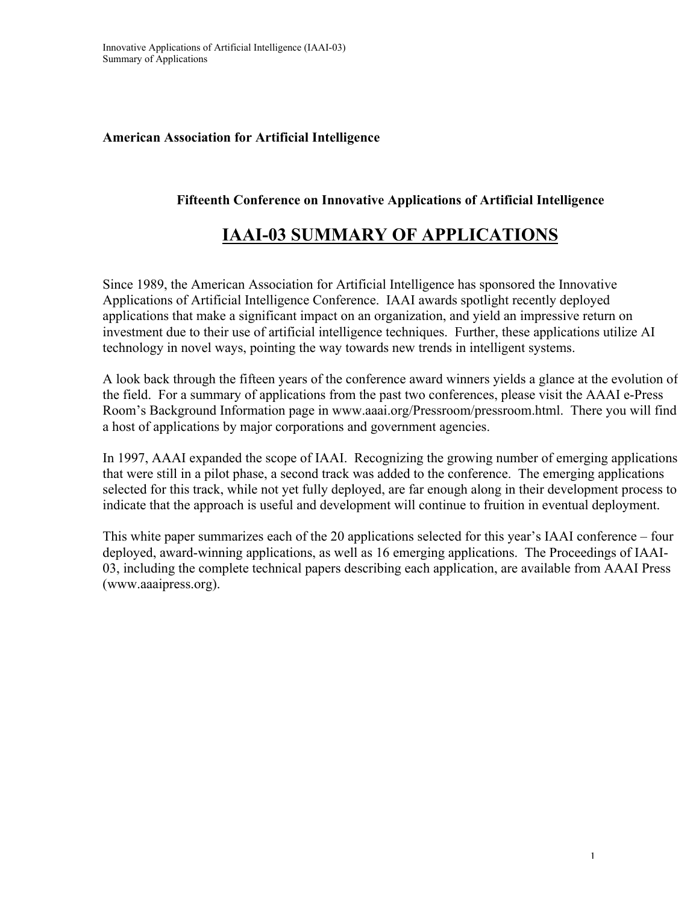### **American Association for Artificial Intelligence**

### **Fifteenth Conference on Innovative Applications of Artificial Intelligence**

## **IAAI-03 SUMMARY OF APPLICATIONS**

Since 1989, the American Association for Artificial Intelligence has sponsored the Innovative Applications of Artificial Intelligence Conference. IAAI awards spotlight recently deployed applications that make a significant impact on an organization, and yield an impressive return on investment due to their use of artificial intelligence techniques. Further, these applications utilize AI technology in novel ways, pointing the way towards new trends in intelligent systems.

A look back through the fifteen years of the conference award winners yields a glance at the evolution of the field. For a summary of applications from the past two conferences, please visit the AAAI e-Press Room's Background Information page in www.aaai.org/Pressroom/pressroom.html. There you will find a host of applications by major corporations and government agencies.

In 1997, AAAI expanded the scope of IAAI. Recognizing the growing number of emerging applications that were still in a pilot phase, a second track was added to the conference. The emerging applications selected for this track, while not yet fully deployed, are far enough along in their development process to indicate that the approach is useful and development will continue to fruition in eventual deployment.

This white paper summarizes each of the 20 applications selected for this year's IAAI conference – four deployed, award-winning applications, as well as 16 emerging applications. The Proceedings of IAAI-03, including the complete technical papers describing each application, are available from AAAI Press (www.aaaipress.org).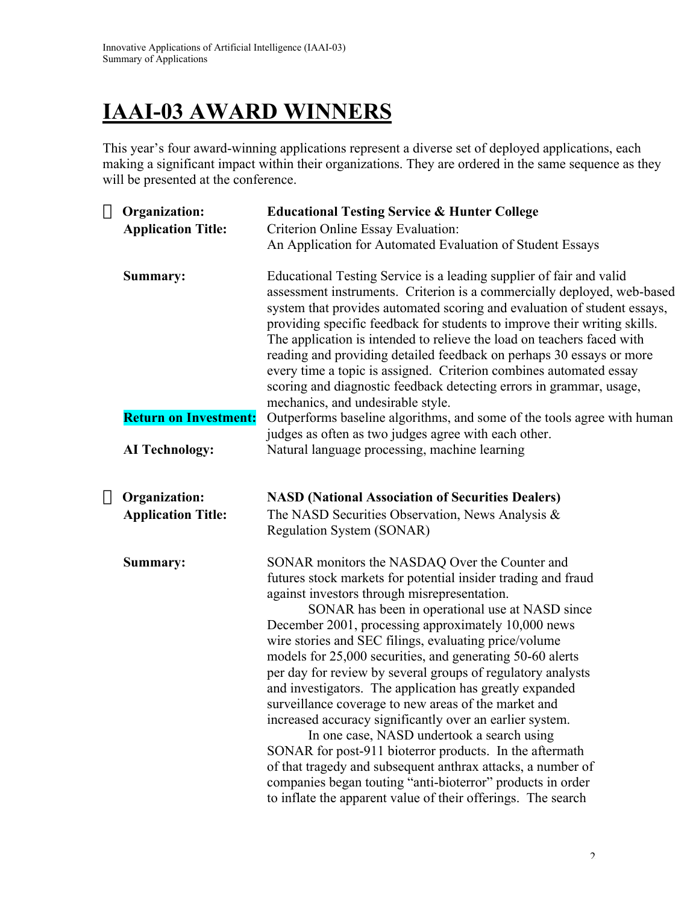# **IAAI-03 AWARD WINNERS**

This year's four award-winning applications represent a diverse set of deployed applications, each making a significant impact within their organizations. They are ordered in the same sequence as they will be presented at the conference.

| $\rightarrow$ Organization:  | <b>Educational Testing Service &amp; Hunter College</b>                                                                                                                                                                                                                                                                                                                                                                                                                                                                                                                                                                                                                                                                                                                                                                                                                                                                                             |
|------------------------------|-----------------------------------------------------------------------------------------------------------------------------------------------------------------------------------------------------------------------------------------------------------------------------------------------------------------------------------------------------------------------------------------------------------------------------------------------------------------------------------------------------------------------------------------------------------------------------------------------------------------------------------------------------------------------------------------------------------------------------------------------------------------------------------------------------------------------------------------------------------------------------------------------------------------------------------------------------|
| <b>Application Title:</b>    | Criterion Online Essay Evaluation:                                                                                                                                                                                                                                                                                                                                                                                                                                                                                                                                                                                                                                                                                                                                                                                                                                                                                                                  |
|                              | An Application for Automated Evaluation of Student Essays                                                                                                                                                                                                                                                                                                                                                                                                                                                                                                                                                                                                                                                                                                                                                                                                                                                                                           |
| Summary:                     | Educational Testing Service is a leading supplier of fair and valid<br>assessment instruments. Criterion is a commercially deployed, web-based<br>system that provides automated scoring and evaluation of student essays,<br>providing specific feedback for students to improve their writing skills.<br>The application is intended to relieve the load on teachers faced with<br>reading and providing detailed feedback on perhaps 30 essays or more<br>every time a topic is assigned. Criterion combines automated essay<br>scoring and diagnostic feedback detecting errors in grammar, usage,<br>mechanics, and undesirable style.                                                                                                                                                                                                                                                                                                         |
| <b>Return on Investment:</b> | Outperforms baseline algorithms, and some of the tools agree with human<br>judges as often as two judges agree with each other.                                                                                                                                                                                                                                                                                                                                                                                                                                                                                                                                                                                                                                                                                                                                                                                                                     |
| <b>AI Technology:</b>        | Natural language processing, machine learning                                                                                                                                                                                                                                                                                                                                                                                                                                                                                                                                                                                                                                                                                                                                                                                                                                                                                                       |
| $\rightarrow$ Organization:  | <b>NASD (National Association of Securities Dealers)</b>                                                                                                                                                                                                                                                                                                                                                                                                                                                                                                                                                                                                                                                                                                                                                                                                                                                                                            |
| <b>Application Title:</b>    | The NASD Securities Observation, News Analysis &                                                                                                                                                                                                                                                                                                                                                                                                                                                                                                                                                                                                                                                                                                                                                                                                                                                                                                    |
|                              | Regulation System (SONAR)                                                                                                                                                                                                                                                                                                                                                                                                                                                                                                                                                                                                                                                                                                                                                                                                                                                                                                                           |
| Summary:                     | SONAR monitors the NASDAQ Over the Counter and<br>futures stock markets for potential insider trading and fraud<br>against investors through misrepresentation.<br>SONAR has been in operational use at NASD since<br>December 2001, processing approximately 10,000 news<br>wire stories and SEC filings, evaluating price/volume<br>models for 25,000 securities, and generating 50-60 alerts<br>per day for review by several groups of regulatory analysts<br>and investigators. The application has greatly expanded<br>surveillance coverage to new areas of the market and<br>increased accuracy significantly over an earlier system.<br>In one case, NASD undertook a search using<br>SONAR for post-911 bioterror products. In the aftermath<br>of that tragedy and subsequent anthrax attacks, a number of<br>companies began touting "anti-bioterror" products in order<br>to inflate the apparent value of their offerings. The search |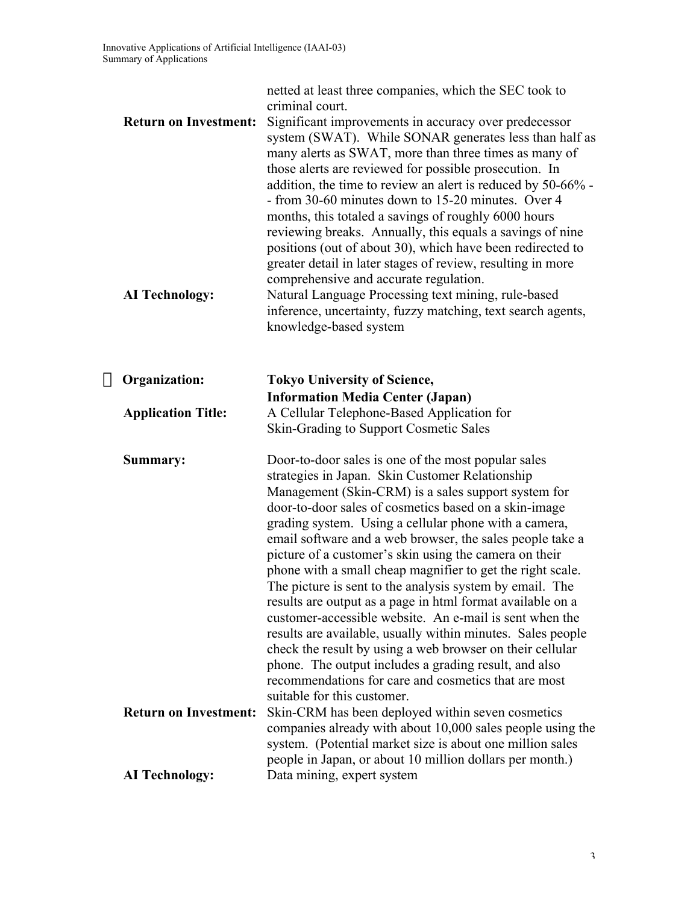| <b>Return on Investment:</b><br><b>AI Technology:</b> | netted at least three companies, which the SEC took to<br>criminal court.<br>Significant improvements in accuracy over predecessor<br>system (SWAT). While SONAR generates less than half as<br>many alerts as SWAT, more than three times as many of<br>those alerts are reviewed for possible prosecution. In<br>addition, the time to review an alert is reduced by 50-66% -<br>- from 30-60 minutes down to 15-20 minutes. Over 4<br>months, this totaled a savings of roughly 6000 hours<br>reviewing breaks. Annually, this equals a savings of nine<br>positions (out of about 30), which have been redirected to<br>greater detail in later stages of review, resulting in more<br>comprehensive and accurate regulation.<br>Natural Language Processing text mining, rule-based<br>inference, uncertainty, fuzzy matching, text search agents,<br>knowledge-based system                                                     |
|-------------------------------------------------------|---------------------------------------------------------------------------------------------------------------------------------------------------------------------------------------------------------------------------------------------------------------------------------------------------------------------------------------------------------------------------------------------------------------------------------------------------------------------------------------------------------------------------------------------------------------------------------------------------------------------------------------------------------------------------------------------------------------------------------------------------------------------------------------------------------------------------------------------------------------------------------------------------------------------------------------|
| $\rightarrow$ Organization:                           | <b>Tokyo University of Science,</b>                                                                                                                                                                                                                                                                                                                                                                                                                                                                                                                                                                                                                                                                                                                                                                                                                                                                                                   |
| <b>Application Title:</b>                             | <b>Information Media Center (Japan)</b><br>A Cellular Telephone-Based Application for<br>Skin-Grading to Support Cosmetic Sales                                                                                                                                                                                                                                                                                                                                                                                                                                                                                                                                                                                                                                                                                                                                                                                                       |
| Summary:                                              | Door-to-door sales is one of the most popular sales<br>strategies in Japan. Skin Customer Relationship<br>Management (Skin-CRM) is a sales support system for<br>door-to-door sales of cosmetics based on a skin-image<br>grading system. Using a cellular phone with a camera,<br>email software and a web browser, the sales people take a<br>picture of a customer's skin using the camera on their<br>phone with a small cheap magnifier to get the right scale.<br>The picture is sent to the analysis system by email. The<br>results are output as a page in html format available on a<br>customer-accessible website. An e-mail is sent when the<br>results are available, usually within minutes. Sales people<br>check the result by using a web browser on their cellular<br>phone. The output includes a grading result, and also<br>recommendations for care and cosmetics that are most<br>suitable for this customer. |
| <b>Return on Investment:</b>                          | Skin-CRM has been deployed within seven cosmetics<br>companies already with about 10,000 sales people using the<br>system. (Potential market size is about one million sales<br>people in Japan, or about 10 million dollars per month.)                                                                                                                                                                                                                                                                                                                                                                                                                                                                                                                                                                                                                                                                                              |
| <b>AI Technology:</b>                                 | Data mining, expert system                                                                                                                                                                                                                                                                                                                                                                                                                                                                                                                                                                                                                                                                                                                                                                                                                                                                                                            |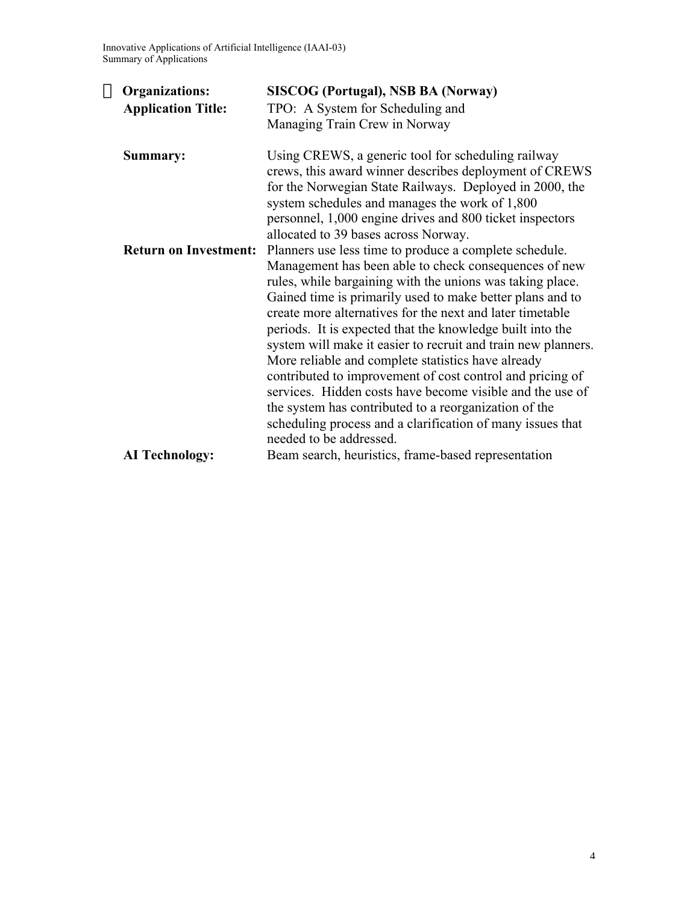Innovative Applications of Artificial Intelligence (IAAI-03) Summary of Applications

| $\rightarrow$ Organizations: | <b>SISCOG (Portugal), NSB BA (Norway)</b>                                                                                                                                                                                                                                                                                     |  |
|------------------------------|-------------------------------------------------------------------------------------------------------------------------------------------------------------------------------------------------------------------------------------------------------------------------------------------------------------------------------|--|
| <b>Application Title:</b>    | TPO: A System for Scheduling and                                                                                                                                                                                                                                                                                              |  |
|                              | Managing Train Crew in Norway                                                                                                                                                                                                                                                                                                 |  |
| Summary:                     | Using CREWS, a generic tool for scheduling railway<br>crews, this award winner describes deployment of CREWS<br>for the Norwegian State Railways. Deployed in 2000, the<br>system schedules and manages the work of 1,800<br>personnel, 1,000 engine drives and 800 ticket inspectors<br>allocated to 39 bases across Norway. |  |
| <b>Return on Investment:</b> | Planners use less time to produce a complete schedule.<br>Management has been able to check consequences of new<br>rules, while bargaining with the unions was taking place.<br>Gained time is primarily used to make better plans and to<br>create more alternatives for the next and later timetable                        |  |
|                              | periods. It is expected that the knowledge built into the<br>system will make it easier to recruit and train new planners.<br>More reliable and complete statistics have already                                                                                                                                              |  |
|                              | contributed to improvement of cost control and pricing of<br>services. Hidden costs have become visible and the use of<br>the system has contributed to a reorganization of the<br>scheduling process and a clarification of many issues that                                                                                 |  |
|                              | needed to be addressed.<br>Beam search, heuristics, frame-based representation                                                                                                                                                                                                                                                |  |
| <b>AI</b> Technology:        |                                                                                                                                                                                                                                                                                                                               |  |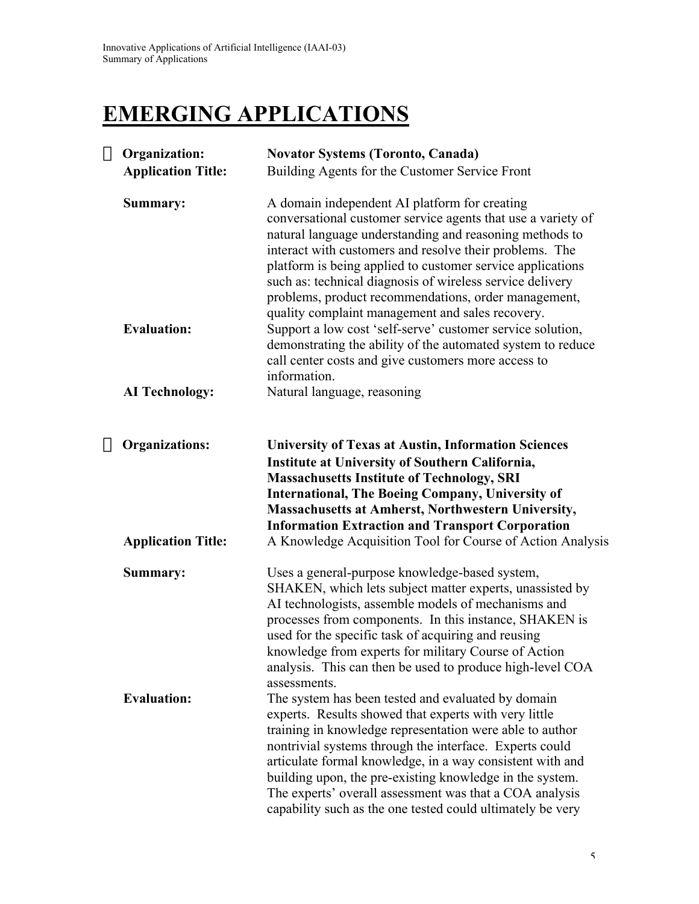## **EMERGING APPLICATIONS**

| $\rightarrow$ Organization:<br><b>Application Title:</b>  | <b>Novator Systems (Toronto, Canada)</b><br>Building Agents for the Customer Service Front                                                                                                                                                                                                                                                                                                                                                                                           |
|-----------------------------------------------------------|--------------------------------------------------------------------------------------------------------------------------------------------------------------------------------------------------------------------------------------------------------------------------------------------------------------------------------------------------------------------------------------------------------------------------------------------------------------------------------------|
| Summary:                                                  | A domain independent AI platform for creating<br>conversational customer service agents that use a variety of<br>natural language understanding and reasoning methods to<br>interact with customers and resolve their problems. The<br>platform is being applied to customer service applications<br>such as: technical diagnosis of wireless service delivery<br>problems, product recommendations, order management,<br>quality complaint management and sales recovery.           |
| <b>Evaluation:</b>                                        | Support a low cost 'self-serve' customer service solution,<br>demonstrating the ability of the automated system to reduce<br>call center costs and give customers more access to<br>information.                                                                                                                                                                                                                                                                                     |
| <b>AI Technology:</b>                                     | Natural language, reasoning                                                                                                                                                                                                                                                                                                                                                                                                                                                          |
| $\rightarrow$ Organizations:<br><b>Application Title:</b> | <b>University of Texas at Austin, Information Sciences</b><br>Institute at University of Southern California,<br><b>Massachusetts Institute of Technology, SRI</b><br><b>International, The Boeing Company, University of</b><br><b>Massachusetts at Amherst, Northwestern University,</b><br><b>Information Extraction and Transport Corporation</b><br>A Knowledge Acquisition Tool for Course of Action Analysis                                                                  |
| Summary:                                                  | Uses a general-purpose knowledge-based system,<br>SHAKEN, which lets subject matter experts, unassisted by<br>AI technologists, assemble models of mechanisms and<br>processes from components. In this instance, SHAKEN is<br>used for the specific task of acquiring and reusing<br>knowledge from experts for military Course of Action<br>analysis. This can then be used to produce high-level COA<br>assessments.                                                              |
| <b>Evaluation:</b>                                        | The system has been tested and evaluated by domain<br>experts. Results showed that experts with very little<br>training in knowledge representation were able to author<br>nontrivial systems through the interface. Experts could<br>articulate formal knowledge, in a way consistent with and<br>building upon, the pre-existing knowledge in the system.<br>The experts' overall assessment was that a COA analysis<br>capability such as the one tested could ultimately be very |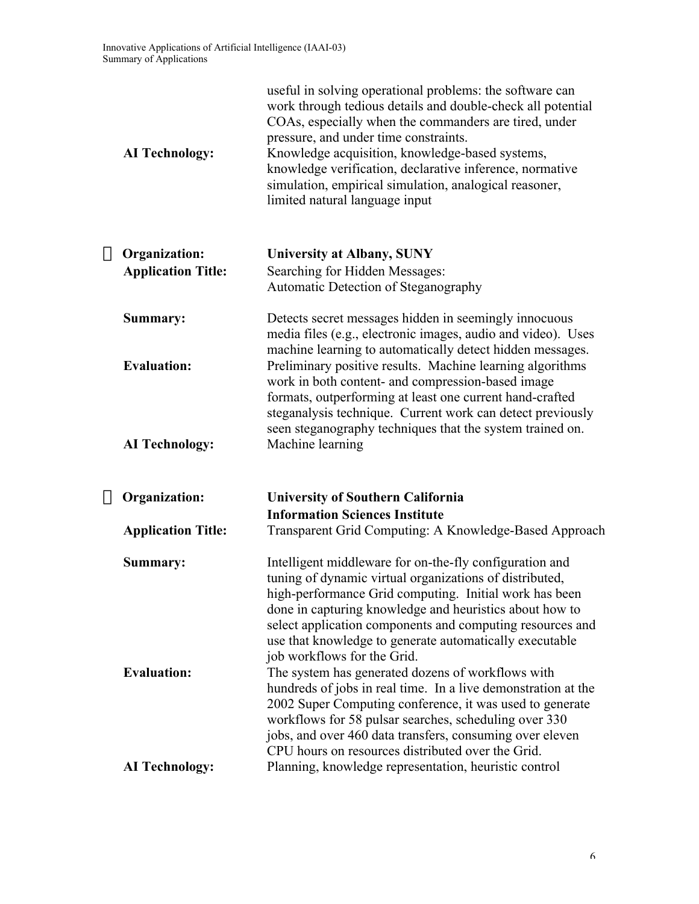| <b>AI Technology:</b>                                    | useful in solving operational problems: the software can<br>work through tedious details and double-check all potential<br>COAs, especially when the commanders are tired, under<br>pressure, and under time constraints.<br>Knowledge acquisition, knowledge-based systems,<br>knowledge verification, declarative inference, normative<br>simulation, empirical simulation, analogical reasoner,<br>limited natural language input |
|----------------------------------------------------------|--------------------------------------------------------------------------------------------------------------------------------------------------------------------------------------------------------------------------------------------------------------------------------------------------------------------------------------------------------------------------------------------------------------------------------------|
| $\rightarrow$ Organization:<br><b>Application Title:</b> | University at Albany, SUNY<br>Searching for Hidden Messages:                                                                                                                                                                                                                                                                                                                                                                         |
|                                                          | Automatic Detection of Steganography                                                                                                                                                                                                                                                                                                                                                                                                 |
| Summary:                                                 | Detects secret messages hidden in seemingly innocuous<br>media files (e.g., electronic images, audio and video). Uses<br>machine learning to automatically detect hidden messages.                                                                                                                                                                                                                                                   |
| <b>Evaluation:</b>                                       | Preliminary positive results. Machine learning algorithms<br>work in both content- and compression-based image<br>formats, outperforming at least one current hand-crafted<br>steganalysis technique. Current work can detect previously                                                                                                                                                                                             |
| <b>AI Technology:</b>                                    | seen steganography techniques that the system trained on.<br>Machine learning                                                                                                                                                                                                                                                                                                                                                        |
| $\rightarrow$ Organization:                              | <b>University of Southern California</b><br><b>Information Sciences Institute</b>                                                                                                                                                                                                                                                                                                                                                    |
| <b>Application Title:</b>                                | Transparent Grid Computing: A Knowledge-Based Approach                                                                                                                                                                                                                                                                                                                                                                               |
| Summary:                                                 | Intelligent middleware for on-the-fly configuration and<br>tuning of dynamic virtual organizations of distributed,<br>high-performance Grid computing. Initial work has been<br>done in capturing knowledge and heuristics about how to<br>select application components and computing resources and<br>use that knowledge to generate automatically executable<br>job workflows for the Grid.                                       |
| <b>Evaluation:</b>                                       | The system has generated dozens of workflows with<br>hundreds of jobs in real time. In a live demonstration at the<br>2002 Super Computing conference, it was used to generate<br>workflows for 58 pulsar searches, scheduling over 330<br>jobs, and over 460 data transfers, consuming over eleven<br>CPU hours on resources distributed over the Grid.                                                                             |
| <b>AI Technology:</b>                                    | Planning, knowledge representation, heuristic control                                                                                                                                                                                                                                                                                                                                                                                |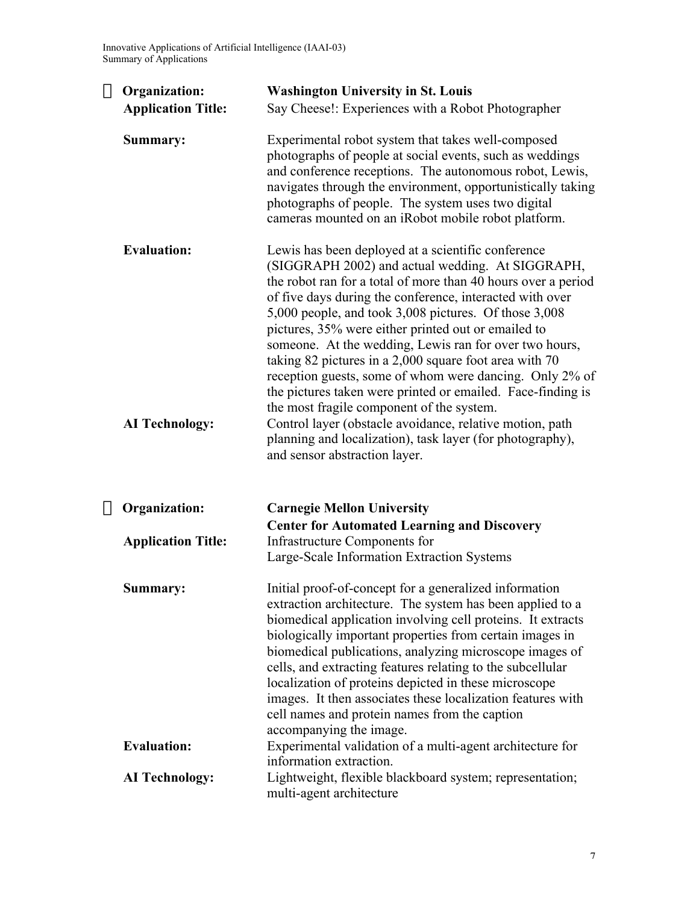Innovative Applications of Artificial Intelligence (IAAI-03) Summary of Applications

| $\rightarrow$ Organization:                 | <b>Washington University in St. Louis</b>                                                                                                                                                                                                                                                                                                                                                                                                                                                                                                                                                                                                                                                                                                                                                                |
|---------------------------------------------|----------------------------------------------------------------------------------------------------------------------------------------------------------------------------------------------------------------------------------------------------------------------------------------------------------------------------------------------------------------------------------------------------------------------------------------------------------------------------------------------------------------------------------------------------------------------------------------------------------------------------------------------------------------------------------------------------------------------------------------------------------------------------------------------------------|
| <b>Application Title:</b>                   | Say Cheese!: Experiences with a Robot Photographer                                                                                                                                                                                                                                                                                                                                                                                                                                                                                                                                                                                                                                                                                                                                                       |
| Summary:                                    | Experimental robot system that takes well-composed<br>photographs of people at social events, such as weddings<br>and conference receptions. The autonomous robot, Lewis,<br>navigates through the environment, opportunistically taking<br>photographs of people. The system uses two digital<br>cameras mounted on an iRobot mobile robot platform.                                                                                                                                                                                                                                                                                                                                                                                                                                                    |
| <b>Evaluation:</b><br><b>AI Technology:</b> | Lewis has been deployed at a scientific conference<br>(SIGGRAPH 2002) and actual wedding. At SIGGRAPH,<br>the robot ran for a total of more than 40 hours over a period<br>of five days during the conference, interacted with over<br>5,000 people, and took 3,008 pictures. Of those 3,008<br>pictures, 35% were either printed out or emailed to<br>someone. At the wedding, Lewis ran for over two hours,<br>taking 82 pictures in a 2,000 square foot area with 70<br>reception guests, some of whom were dancing. Only 2% of<br>the pictures taken were printed or emailed. Face-finding is<br>the most fragile component of the system.<br>Control layer (obstacle avoidance, relative motion, path<br>planning and localization), task layer (for photography),<br>and sensor abstraction layer. |
| $\rightarrow$ Organization:                 | <b>Carnegie Mellon University</b>                                                                                                                                                                                                                                                                                                                                                                                                                                                                                                                                                                                                                                                                                                                                                                        |
| <b>Application Title:</b>                   | <b>Center for Automated Learning and Discovery</b><br><b>Infrastructure Components for</b><br>Large-Scale Information Extraction Systems                                                                                                                                                                                                                                                                                                                                                                                                                                                                                                                                                                                                                                                                 |
| Summary:                                    | Initial proof-of-concept for a generalized information<br>extraction architecture. The system has been applied to a<br>biomedical application involving cell proteins. It extracts<br>biologically important properties from certain images in<br>biomedical publications, analyzing microscope images of<br>cells, and extracting features relating to the subcellular<br>localization of proteins depicted in these microscope<br>images. It then associates these localization features with<br>cell names and protein names from the caption<br>accompanying the image.                                                                                                                                                                                                                              |
| <b>Evaluation:</b>                          | Experimental validation of a multi-agent architecture for<br>information extraction.                                                                                                                                                                                                                                                                                                                                                                                                                                                                                                                                                                                                                                                                                                                     |
| <b>AI Technology:</b>                       | Lightweight, flexible blackboard system; representation;<br>multi-agent architecture                                                                                                                                                                                                                                                                                                                                                                                                                                                                                                                                                                                                                                                                                                                     |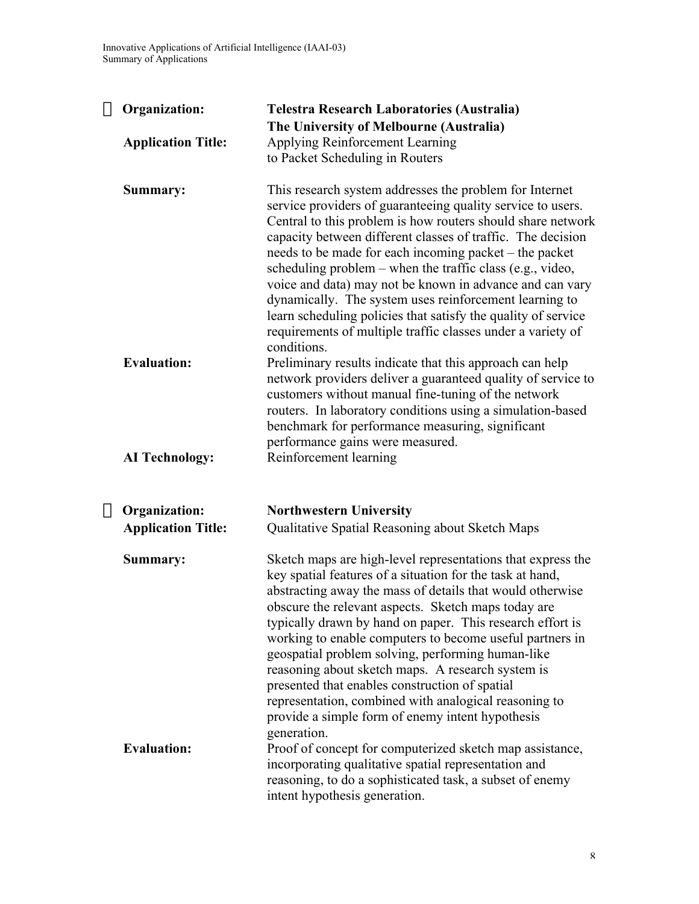| $\rightarrow$ Organization:                 | <b>Telestra Research Laboratories (Australia)</b><br>The University of Melbourne (Australia)                                                                                                                                                                                                                                                                                                                                                                                                                                                                                                                                                                  |
|---------------------------------------------|---------------------------------------------------------------------------------------------------------------------------------------------------------------------------------------------------------------------------------------------------------------------------------------------------------------------------------------------------------------------------------------------------------------------------------------------------------------------------------------------------------------------------------------------------------------------------------------------------------------------------------------------------------------|
| <b>Application Title:</b>                   | Applying Reinforcement Learning                                                                                                                                                                                                                                                                                                                                                                                                                                                                                                                                                                                                                               |
|                                             | to Packet Scheduling in Routers                                                                                                                                                                                                                                                                                                                                                                                                                                                                                                                                                                                                                               |
| Summary:                                    | This research system addresses the problem for Internet<br>service providers of guaranteeing quality service to users.<br>Central to this problem is how routers should share network<br>capacity between different classes of traffic. The decision<br>needs to be made for each incoming packet – the packet<br>scheduling problem – when the traffic class (e.g., video,<br>voice and data) may not be known in advance and can vary<br>dynamically. The system uses reinforcement learning to<br>learn scheduling policies that satisfy the quality of service<br>requirements of multiple traffic classes under a variety of<br>conditions.              |
| <b>Evaluation:</b><br><b>AI Technology:</b> | Preliminary results indicate that this approach can help<br>network providers deliver a guaranteed quality of service to<br>customers without manual fine-tuning of the network<br>routers. In laboratory conditions using a simulation-based<br>benchmark for performance measuring, significant<br>performance gains were measured.<br>Reinforcement learning                                                                                                                                                                                                                                                                                               |
|                                             |                                                                                                                                                                                                                                                                                                                                                                                                                                                                                                                                                                                                                                                               |
| $\rightarrow$ Organization:                 | <b>Northwestern University</b>                                                                                                                                                                                                                                                                                                                                                                                                                                                                                                                                                                                                                                |
| <b>Application Title:</b>                   | Qualitative Spatial Reasoning about Sketch Maps                                                                                                                                                                                                                                                                                                                                                                                                                                                                                                                                                                                                               |
| Summary:                                    | Sketch maps are high-level representations that express the<br>key spatial features of a situation for the task at hand,<br>abstracting away the mass of details that would otherwise<br>obscure the relevant aspects. Sketch maps today are<br>typically drawn by hand on paper. This research effort is<br>working to enable computers to become useful partners in<br>geospatial problem solving, performing human-like<br>reasoning about sketch maps. A research system is<br>presented that enables construction of spatial<br>representation, combined with analogical reasoning to<br>provide a simple form of enemy intent hypothesis<br>generation. |
| <b>Evaluation:</b>                          | Proof of concept for computerized sketch map assistance,<br>incorporating qualitative spatial representation and<br>reasoning, to do a sophisticated task, a subset of enemy<br>intent hypothesis generation.                                                                                                                                                                                                                                                                                                                                                                                                                                                 |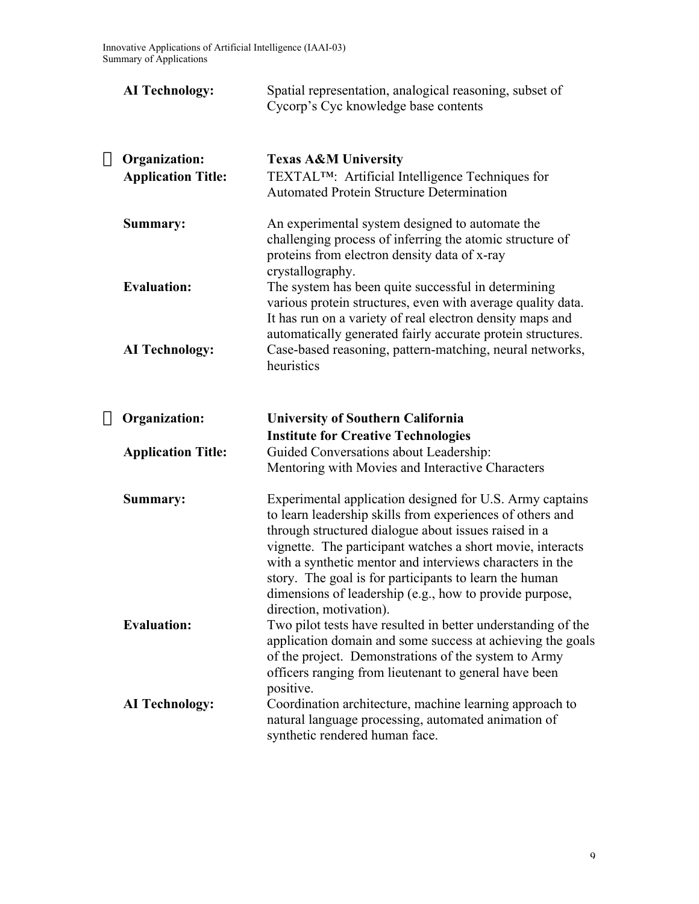| <b>AI Technology:</b>                                    | Spatial representation, analogical reasoning, subset of<br>Cycorp's Cyc knowledge base contents                                                                                                                                                                                                                                                                                                                                                         |
|----------------------------------------------------------|---------------------------------------------------------------------------------------------------------------------------------------------------------------------------------------------------------------------------------------------------------------------------------------------------------------------------------------------------------------------------------------------------------------------------------------------------------|
| $\rightarrow$ Organization:<br><b>Application Title:</b> | <b>Texas A&amp;M University</b><br>TEXTAL <sup>TM</sup> : Artificial Intelligence Techniques for<br><b>Automated Protein Structure Determination</b>                                                                                                                                                                                                                                                                                                    |
| Summary:                                                 | An experimental system designed to automate the<br>challenging process of inferring the atomic structure of<br>proteins from electron density data of x-ray<br>crystallography.                                                                                                                                                                                                                                                                         |
| <b>Evaluation:</b>                                       | The system has been quite successful in determining<br>various protein structures, even with average quality data.<br>It has run on a variety of real electron density maps and<br>automatically generated fairly accurate protein structures.                                                                                                                                                                                                          |
| <b>AI Technology:</b>                                    | Case-based reasoning, pattern-matching, neural networks,<br>heuristics                                                                                                                                                                                                                                                                                                                                                                                  |
| $\rightarrow$ Organization:                              | <b>University of Southern California</b>                                                                                                                                                                                                                                                                                                                                                                                                                |
| <b>Application Title:</b>                                | <b>Institute for Creative Technologies</b><br>Guided Conversations about Leadership:<br>Mentoring with Movies and Interactive Characters                                                                                                                                                                                                                                                                                                                |
| Summary:                                                 | Experimental application designed for U.S. Army captains<br>to learn leadership skills from experiences of others and<br>through structured dialogue about issues raised in a<br>vignette. The participant watches a short movie, interacts<br>with a synthetic mentor and interviews characters in the<br>story. The goal is for participants to learn the human<br>dimensions of leadership (e.g., how to provide purpose,<br>direction, motivation). |
| <b>Evaluation:</b>                                       | Two pilot tests have resulted in better understanding of the<br>application domain and some success at achieving the goals<br>of the project. Demonstrations of the system to Army<br>officers ranging from lieutenant to general have been<br>positive.                                                                                                                                                                                                |
| <b>AI Technology:</b>                                    | Coordination architecture, machine learning approach to<br>natural language processing, automated animation of<br>synthetic rendered human face.                                                                                                                                                                                                                                                                                                        |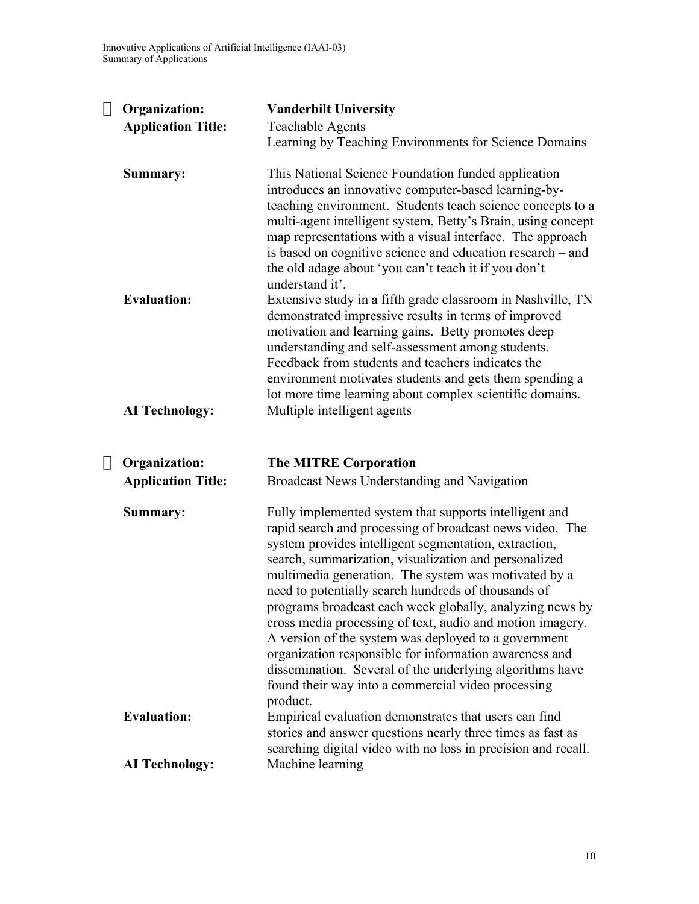| $\rightarrow$ Organization: | <b>Vanderbilt University</b>                                                                                                                                                                                                                                                                                                                                                                                                                                                                                                                                                                                                                                                                                                 |
|-----------------------------|------------------------------------------------------------------------------------------------------------------------------------------------------------------------------------------------------------------------------------------------------------------------------------------------------------------------------------------------------------------------------------------------------------------------------------------------------------------------------------------------------------------------------------------------------------------------------------------------------------------------------------------------------------------------------------------------------------------------------|
| <b>Application Title:</b>   | <b>Teachable Agents</b><br>Learning by Teaching Environments for Science Domains                                                                                                                                                                                                                                                                                                                                                                                                                                                                                                                                                                                                                                             |
| Summary:                    | This National Science Foundation funded application<br>introduces an innovative computer-based learning-by-<br>teaching environment. Students teach science concepts to a<br>multi-agent intelligent system, Betty's Brain, using concept<br>map representations with a visual interface. The approach<br>is based on cognitive science and education research – and                                                                                                                                                                                                                                                                                                                                                         |
| <b>Evaluation:</b>          | the old adage about 'you can't teach it if you don't<br>understand it'.<br>Extensive study in a fifth grade classroom in Nashville, TN<br>demonstrated impressive results in terms of improved<br>motivation and learning gains. Betty promotes deep<br>understanding and self-assessment among students.<br>Feedback from students and teachers indicates the<br>environment motivates students and gets them spending a                                                                                                                                                                                                                                                                                                    |
| <b>AI Technology:</b>       | lot more time learning about complex scientific domains.<br>Multiple intelligent agents                                                                                                                                                                                                                                                                                                                                                                                                                                                                                                                                                                                                                                      |
| $\rightarrow$ Organization: | <b>The MITRE Corporation</b>                                                                                                                                                                                                                                                                                                                                                                                                                                                                                                                                                                                                                                                                                                 |
| <b>Application Title:</b>   | Broadcast News Understanding and Navigation                                                                                                                                                                                                                                                                                                                                                                                                                                                                                                                                                                                                                                                                                  |
| Summary:                    | Fully implemented system that supports intelligent and<br>rapid search and processing of broadcast news video. The<br>system provides intelligent segmentation, extraction,<br>search, summarization, visualization and personalized<br>multimedia generation. The system was motivated by a<br>need to potentially search hundreds of thousands of<br>programs broadcast each week globally, analyzing news by<br>cross media processing of text, audio and motion imagery.<br>A version of the system was deployed to a government<br>organization responsible for information awareness and<br>dissemination. Several of the underlying algorithms have<br>found their way into a commercial video processing<br>product. |
| <b>Evaluation:</b>          | Empirical evaluation demonstrates that users can find<br>stories and answer questions nearly three times as fast as<br>searching digital video with no loss in precision and recall.                                                                                                                                                                                                                                                                                                                                                                                                                                                                                                                                         |
| <b>AI Technology:</b>       | Machine learning                                                                                                                                                                                                                                                                                                                                                                                                                                                                                                                                                                                                                                                                                                             |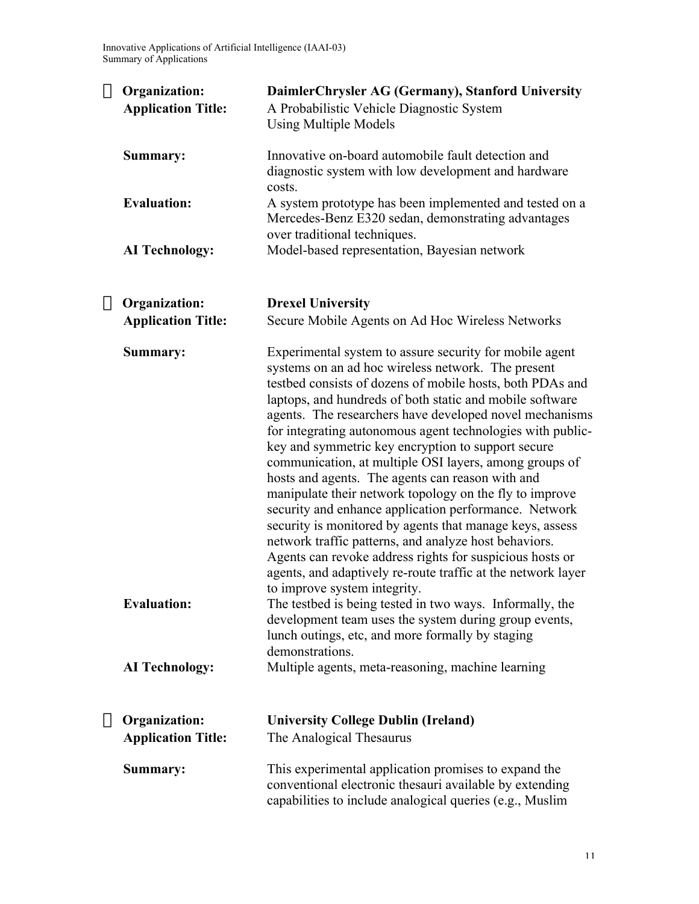Innovative Applications of Artificial Intelligence (IAAI-03) Summary of Applications

| $\rightarrow$ Organization:<br><b>Application Title:</b> | DaimlerChrysler AG (Germany), Stanford University<br>A Probabilistic Vehicle Diagnostic System<br><b>Using Multiple Models</b>                                                                                                                                                                                                                                                                                                                                                                                                                                                                                                                                                                                                                                                                                                                                                                                                           |
|----------------------------------------------------------|------------------------------------------------------------------------------------------------------------------------------------------------------------------------------------------------------------------------------------------------------------------------------------------------------------------------------------------------------------------------------------------------------------------------------------------------------------------------------------------------------------------------------------------------------------------------------------------------------------------------------------------------------------------------------------------------------------------------------------------------------------------------------------------------------------------------------------------------------------------------------------------------------------------------------------------|
| Summary:                                                 | Innovative on-board automobile fault detection and<br>diagnostic system with low development and hardware<br>costs.                                                                                                                                                                                                                                                                                                                                                                                                                                                                                                                                                                                                                                                                                                                                                                                                                      |
| <b>Evaluation:</b>                                       | A system prototype has been implemented and tested on a<br>Mercedes-Benz E320 sedan, demonstrating advantages<br>over traditional techniques.                                                                                                                                                                                                                                                                                                                                                                                                                                                                                                                                                                                                                                                                                                                                                                                            |
| <b>AI Technology:</b>                                    | Model-based representation, Bayesian network                                                                                                                                                                                                                                                                                                                                                                                                                                                                                                                                                                                                                                                                                                                                                                                                                                                                                             |
| $\rightarrow$ Organization:<br><b>Application Title:</b> | <b>Drexel University</b><br>Secure Mobile Agents on Ad Hoc Wireless Networks                                                                                                                                                                                                                                                                                                                                                                                                                                                                                                                                                                                                                                                                                                                                                                                                                                                             |
| Summary:                                                 | Experimental system to assure security for mobile agent<br>systems on an ad hoc wireless network. The present<br>testbed consists of dozens of mobile hosts, both PDAs and<br>laptops, and hundreds of both static and mobile software<br>agents. The researchers have developed novel mechanisms<br>for integrating autonomous agent technologies with public-<br>key and symmetric key encryption to support secure<br>communication, at multiple OSI layers, among groups of<br>hosts and agents. The agents can reason with and<br>manipulate their network topology on the fly to improve<br>security and enhance application performance. Network<br>security is monitored by agents that manage keys, assess<br>network traffic patterns, and analyze host behaviors.<br>Agents can revoke address rights for suspicious hosts or<br>agents, and adaptively re-route traffic at the network layer<br>to improve system integrity. |
| <b>Evaluation:</b>                                       | The testbed is being tested in two ways. Informally, the<br>development team uses the system during group events,<br>lunch outings, etc, and more formally by staging<br>demonstrations.                                                                                                                                                                                                                                                                                                                                                                                                                                                                                                                                                                                                                                                                                                                                                 |
| <b>AI Technology:</b>                                    | Multiple agents, meta-reasoning, machine learning                                                                                                                                                                                                                                                                                                                                                                                                                                                                                                                                                                                                                                                                                                                                                                                                                                                                                        |
| $\rightarrow$ Organization:                              | <b>University College Dublin (Ireland)</b>                                                                                                                                                                                                                                                                                                                                                                                                                                                                                                                                                                                                                                                                                                                                                                                                                                                                                               |
| <b>Application Title:</b>                                | The Analogical Thesaurus                                                                                                                                                                                                                                                                                                                                                                                                                                                                                                                                                                                                                                                                                                                                                                                                                                                                                                                 |
| Summary:                                                 | This experimental application promises to expand the<br>conventional electronic thesauri available by extending<br>capabilities to include analogical queries (e.g., Muslim                                                                                                                                                                                                                                                                                                                                                                                                                                                                                                                                                                                                                                                                                                                                                              |